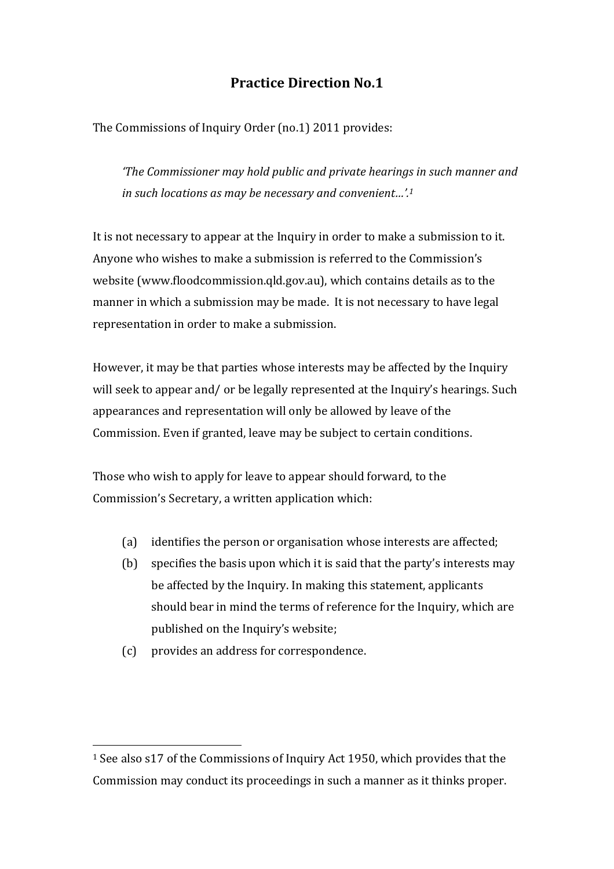## **Practice Direction No.1**

The Commissions of Inquiry Order (no.1) 2011 provides:

*'The Commissioner may hold public and private hearings in such manner and in such locations as may be necessary and convenient…'.[1](#page-0-0)*

It is not necessary to appear at the Inquiry in order to make a submission to it. Anyone who wishes to make a submission is referred to the Commission's website (www.floodcommission.qld.gov.au), which contains details as to the manner in which a submission may be made. It is not necessary to have legal representation in order to make a submission.

However, it may be that parties whose interests may be affected by the Inquiry will seek to appear and/ or be legally represented at the Inquiry's hearings. Such appearances and representation will only be allowed by leave of the Commission. Even if granted, leave may be subject to certain conditions.

Those who wish to apply for leave to appear should forward, to the Commission's Secretary, a written application which:

- (a) identifies the person or organisation whose interests are affected;
- (b) specifies the basis upon which it is said that the party's interests may be affected by the Inquiry. In making this statement, applicants should bear in mind the terms of reference for the Inquiry, which are published on the Inquiry's website;
- (c) provides an address for correspondence.

<span id="page-0-0"></span><sup>1</sup> See also s17 of the Commissions of Inquiry Act 1950, which provides that the Commission may conduct its proceedings in such a manner as it thinks proper.